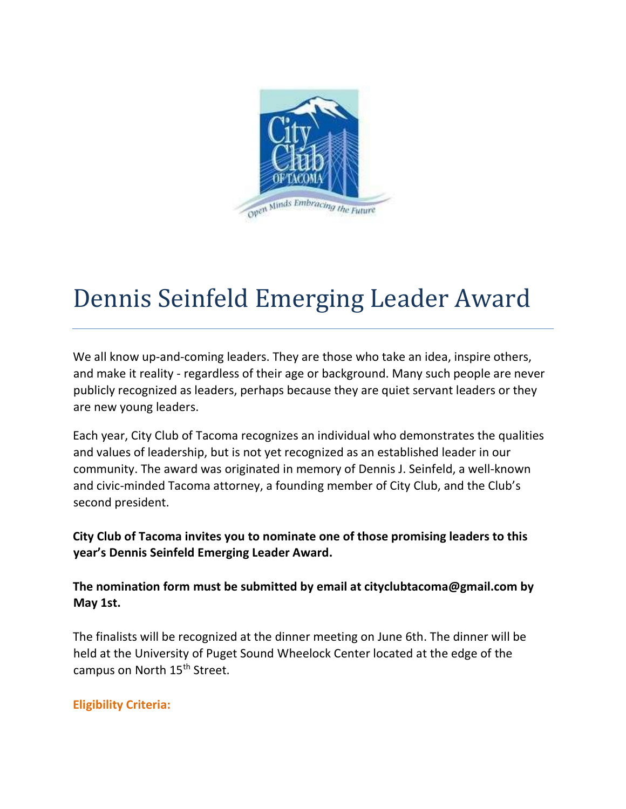

# Dennis Seinfeld Emerging Leader Award

We all know up-and-coming leaders. They are those who take an idea, inspire others, and make it reality - regardless of their age or background. Many such people are never publicly recognized as leaders, perhaps because they are quiet servant leaders or they are new young leaders.

Each year, City Club of Tacoma recognizes an individual who demonstrates the qualities and values of leadership, but is not yet recognized as an established leader in our community. The award was originated in memory of Dennis J. Seinfeld, a well-known and civic-minded Tacoma attorney, a founding member of City Club, and the Club's second president.

City Club of Tacoma invites you to nominate one of those promising leaders to this year's Dennis Seinfeld Emerging Leader Award.

The nomination form must be submitted by email at cityclubtacoma@gmail.com by May 1st.

The finalists will be recognized at the dinner meeting on June 6th. The dinner will be held at the University of Puget Sound Wheelock Center located at the edge of the campus on North 15<sup>th</sup> Street.

## Eligibility Criteria: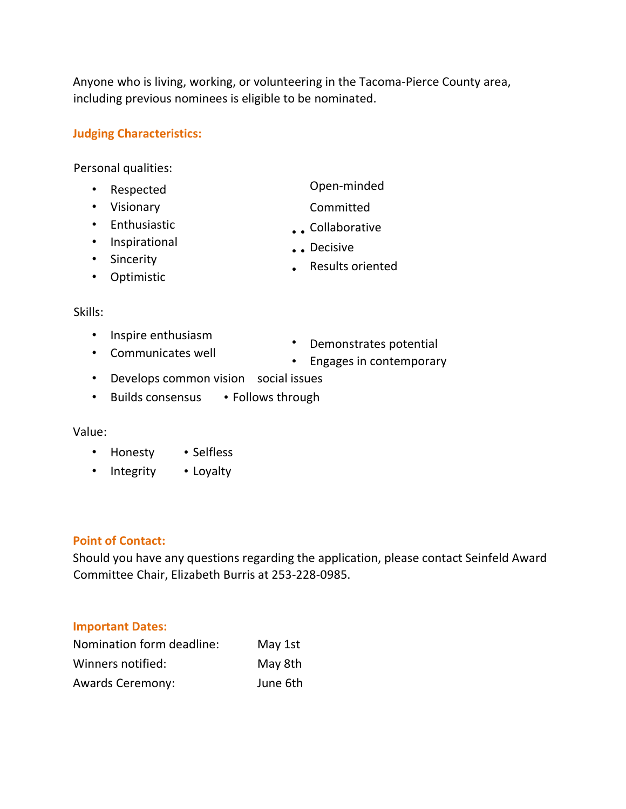Anyone who is living, working, or volunteering in the Tacoma-Pierce County area, including previous nominees is eligible to be nominated.

### Judging Characteristics:

Personal qualities:

- Respected
- Visionary
- Enthusiastic
- Inspirational
- Sincerity
- Optimistic
- Open-minded
- Committed
- • Collaborative
- • Decisive
- Results oriented

#### Skills:

- Inspire enthusiasm
- Communicates well
- Demonstrates potential
- Engages in contemporary
- Develops common vision social issues
- Builds consensus Follows through

#### Value:

- Honesty Selfless
- Integrity Loyalty

#### Point of Contact:

Should you have any questions regarding the application, please contact Seinfeld Award Committee Chair, Elizabeth Burris at 253-228-0985.

#### Important Dates:

| Nomination form deadline: | May 1st  |
|---------------------------|----------|
| Winners notified:         | May 8th  |
| <b>Awards Ceremony:</b>   | June 6th |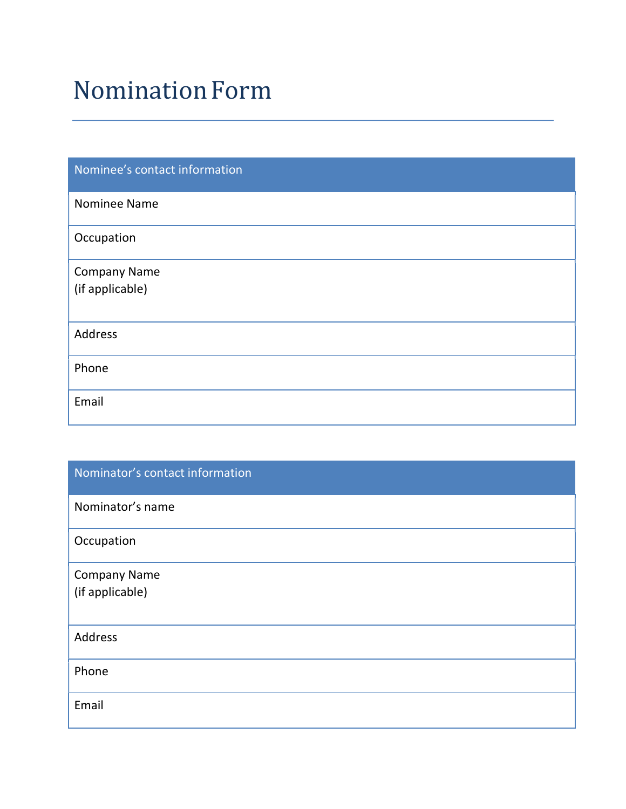# NominationForm

| Nominee's contact information |
|-------------------------------|
| Nominee Name                  |
| Occupation                    |
| <b>Company Name</b>           |
| (if applicable)               |
| Address                       |
| Phone                         |
| Email                         |

| Nominator's contact information |
|---------------------------------|
| Nominator's name                |
| Occupation                      |
| <b>Company Name</b>             |
| (if applicable)                 |
| Address                         |
| Phone                           |
| Email                           |